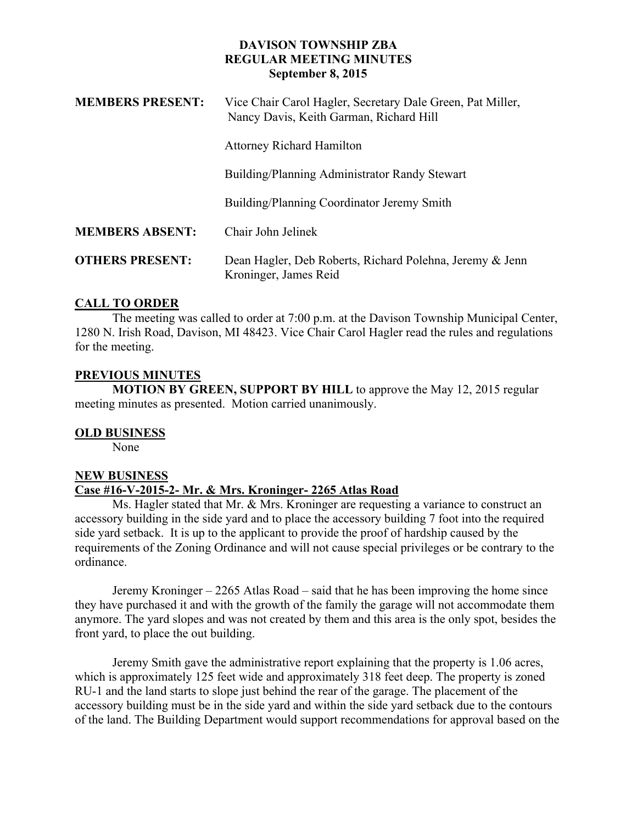## **DAVISON TOWNSHIP ZBA REGULAR MEETING MINUTES September 8, 2015**

| <b>MEMBERS PRESENT:</b> | Vice Chair Carol Hagler, Secretary Dale Green, Pat Miller,<br>Nancy Davis, Keith Garman, Richard Hill |
|-------------------------|-------------------------------------------------------------------------------------------------------|
|                         | <b>Attorney Richard Hamilton</b>                                                                      |
|                         | Building/Planning Administrator Randy Stewart                                                         |
|                         | Building/Planning Coordinator Jeremy Smith                                                            |
| <b>MEMBERS ABSENT:</b>  | Chair John Jelinek                                                                                    |
| <b>OTHERS PRESENT:</b>  | Dean Hagler, Deb Roberts, Richard Polehna, Jeremy & Jenn<br>Kroninger, James Reid                     |

## **CALL TO ORDER**

The meeting was called to order at 7:00 p.m. at the Davison Township Municipal Center, 1280 N. Irish Road, Davison, MI 48423. Vice Chair Carol Hagler read the rules and regulations for the meeting.

## **PREVIOUS MINUTES**

**MOTION BY GREEN, SUPPORT BY HILL** to approve the May 12, 2015 regular meeting minutes as presented. Motion carried unanimously.

## **OLD BUSINESS**

None

# **NEW BUSINESS Case #16-V-2015-2- Mr. & Mrs. Kroninger- 2265 Atlas Road**

Ms. Hagler stated that Mr. & Mrs. Kroninger are requesting a variance to construct an accessory building in the side yard and to place the accessory building 7 foot into the required side yard setback. It is up to the applicant to provide the proof of hardship caused by the requirements of the Zoning Ordinance and will not cause special privileges or be contrary to the ordinance.

Jeremy Kroninger – 2265 Atlas Road – said that he has been improving the home since they have purchased it and with the growth of the family the garage will not accommodate them anymore. The yard slopes and was not created by them and this area is the only spot, besides the front yard, to place the out building.

Jeremy Smith gave the administrative report explaining that the property is 1.06 acres, which is approximately 125 feet wide and approximately 318 feet deep. The property is zoned RU-1 and the land starts to slope just behind the rear of the garage. The placement of the accessory building must be in the side yard and within the side yard setback due to the contours of the land. The Building Department would support recommendations for approval based on the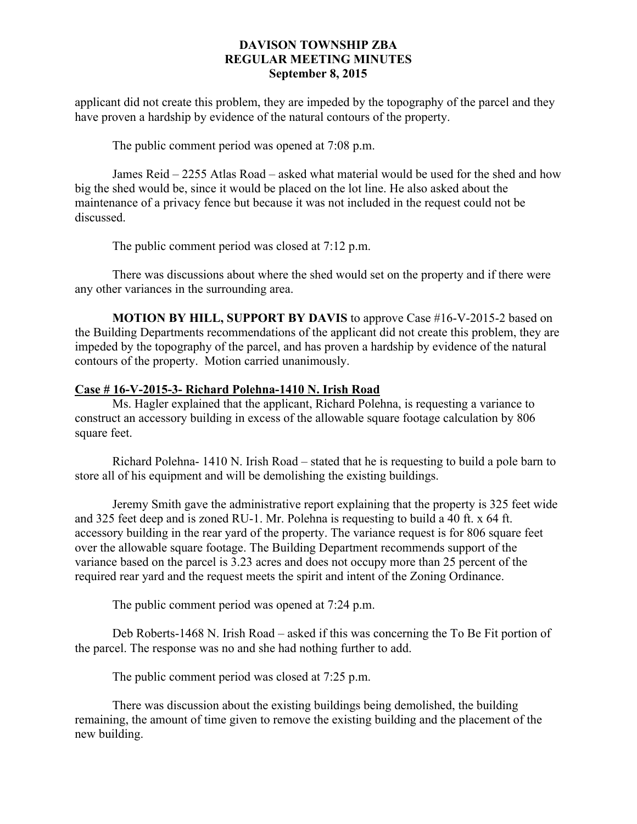## **DAVISON TOWNSHIP ZBA REGULAR MEETING MINUTES September 8, 2015**

applicant did not create this problem, they are impeded by the topography of the parcel and they have proven a hardship by evidence of the natural contours of the property.

The public comment period was opened at 7:08 p.m.

James Reid – 2255 Atlas Road – asked what material would be used for the shed and how big the shed would be, since it would be placed on the lot line. He also asked about the maintenance of a privacy fence but because it was not included in the request could not be discussed.

The public comment period was closed at 7:12 p.m.

There was discussions about where the shed would set on the property and if there were any other variances in the surrounding area.

**MOTION BY HILL, SUPPORT BY DAVIS** to approve Case #16-V-2015-2 based on the Building Departments recommendations of the applicant did not create this problem, they are impeded by the topography of the parcel, and has proven a hardship by evidence of the natural contours of the property. Motion carried unanimously.

### **Case # 16-V-2015-3- Richard Polehna-1410 N. Irish Road**

Ms. Hagler explained that the applicant, Richard Polehna, is requesting a variance to construct an accessory building in excess of the allowable square footage calculation by 806 square feet.

Richard Polehna- 1410 N. Irish Road – stated that he is requesting to build a pole barn to store all of his equipment and will be demolishing the existing buildings.

Jeremy Smith gave the administrative report explaining that the property is 325 feet wide and 325 feet deep and is zoned RU-1. Mr. Polehna is requesting to build a 40 ft. x 64 ft. accessory building in the rear yard of the property. The variance request is for 806 square feet over the allowable square footage. The Building Department recommends support of the variance based on the parcel is 3.23 acres and does not occupy more than 25 percent of the required rear yard and the request meets the spirit and intent of the Zoning Ordinance.

The public comment period was opened at 7:24 p.m.

Deb Roberts-1468 N. Irish Road – asked if this was concerning the To Be Fit portion of the parcel. The response was no and she had nothing further to add.

The public comment period was closed at 7:25 p.m.

There was discussion about the existing buildings being demolished, the building remaining, the amount of time given to remove the existing building and the placement of the new building.